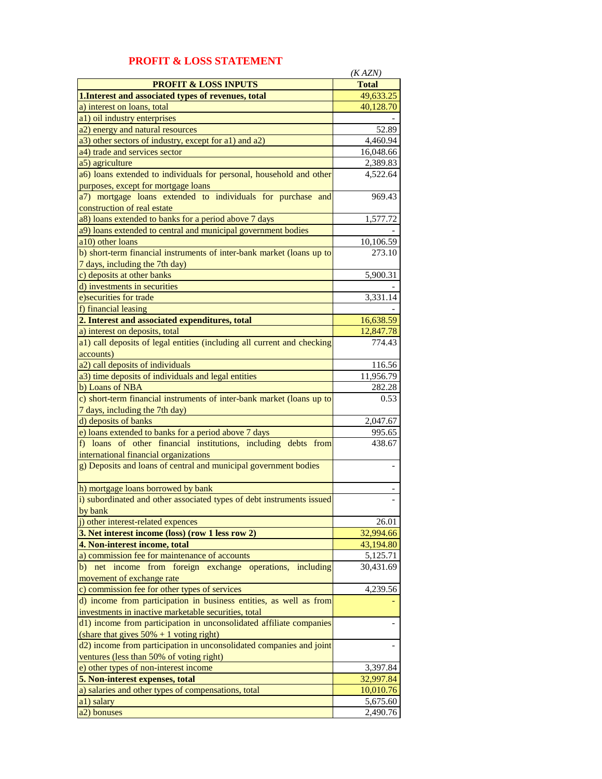|                                                                         | (KAZN)       |
|-------------------------------------------------------------------------|--------------|
| <b>PROFIT &amp; LOSS INPUTS</b>                                         | <b>Total</b> |
| 1. Interest and associated types of revenues, total                     | 49,633.25    |
| a) interest on loans, total                                             | 40,128.70    |
| a1) oil industry enterprises                                            |              |
| a2) energy and natural resources                                        | 52.89        |
| a3) other sectors of industry, except for a1) and a2)                   | 4,460.94     |
| a4) trade and services sector                                           | 16,048.66    |
| a5) agriculture                                                         | 2,389.83     |
| a6) loans extended to individuals for personal, household and other     | 4,522.64     |
| purposes, except for mortgage loans                                     |              |
| a7) mortgage loans extended to individuals for purchase and             | 969.43       |
| construction of real estate                                             |              |
| a8) loans extended to banks for a period above 7 days                   | 1,577.72     |
| a9) loans extended to central and municipal government bodies           |              |
| a10) other loans                                                        |              |
|                                                                         | 10,106.59    |
| b) short-term financial instruments of inter-bank market (loans up to   | 273.10       |
| 7 days, including the 7th day)                                          |              |
| c) deposits at other banks                                              | 5,900.31     |
| d) investments in securities                                            |              |
| e) securities for trade                                                 | 3,331.14     |
| f) financial leasing                                                    |              |
| 2. Interest and associated expenditures, total                          | 16,638.59    |
| a) interest on deposits, total                                          | 12,847.78    |
| a1) call deposits of legal entities (including all current and checking | 774.43       |
| accounts)                                                               |              |
| a2) call deposits of individuals                                        | 116.56       |
| a3) time deposits of individuals and legal entities                     | 11,956.79    |
| b) Loans of NBA                                                         | 282.28       |
| c) short-term financial instruments of inter-bank market (loans up to   | 0.53         |
| 7 days, including the 7th day)                                          |              |
| d) deposits of banks                                                    | 2,047.67     |
| e) loans extended to banks for a period above 7 days                    | 995.65       |
| f) loans of other financial institutions, including debts from          | 438.67       |
| international financial organizations                                   |              |
| g) Deposits and loans of central and municipal government bodies        |              |
|                                                                         |              |
| h) mortgage loans borrowed by bank                                      |              |
| i) subordinated and other associated types of debt instruments issued   |              |
| by bank                                                                 |              |
| j) other interest-related expences                                      | 26.01        |
| 3. Net interest income (loss) (row 1 less row 2)                        | 32,994.66    |
| 4. Non-interest income, total                                           | 43,194.80    |
| a) commission fee for maintenance of accounts                           |              |
|                                                                         | 5,125.71     |
| b) net income from foreign exchange operations, including               | 30,431.69    |
| movement of exchange rate                                               |              |
| c) commission fee for other types of services                           | 4,239.56     |
| d) income from participation in business entities, as well as from      |              |
| investments in inactive marketable securities, total                    |              |
| d1) income from participation in unconsolidated affiliate companies     |              |
| (share that gives $50\% + 1$ voting right)                              |              |
| d2) income from participation in unconsolidated companies and joint     |              |
| ventures (less than 50% of voting right)                                |              |
| e) other types of non-interest income                                   | 3,397.84     |
| 5. Non-interest expenses, total                                         | 32,997.84    |
| a) salaries and other types of compensations, total                     | 10,010.76    |
| a1) salary                                                              | 5,675.60     |
| a <sub>2</sub> ) bonuses                                                | 2,490.76     |

## **PROFIT & LOSS STATEMENT**